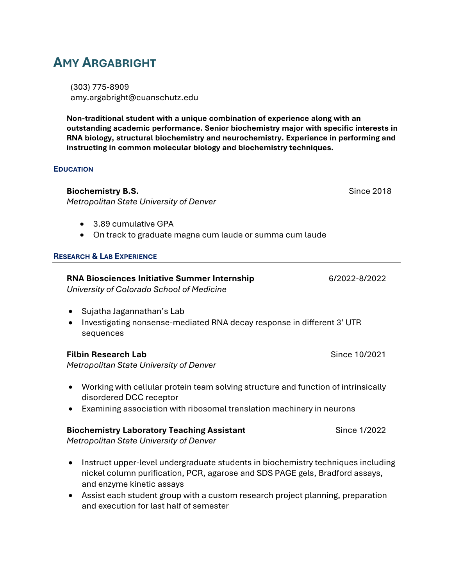# **AMY ARGABRIGHT**

(303) 775-8909 amy.argabright@cuanschutz.edu

**Non-traditional student with a unique combination of experience along with an outstanding academic performance. Senior biochemistry major with specific interests in RNA biology, structural biochemistry and neurochemistry. Experience in performing and instructing in common molecular biology and biochemistry techniques.**

### **EDUCATION**

**Biochemistry B.S. Biochemistry B.S. Biochemistry B.S. Since 2018** *Metropolitan State University of Denver*

- 3.89 cumulative GPA
- On track to graduate magna cum laude or summa cum laude

### **RESEARCH & LAB EXPERIENCE**

# **RNA Biosciences Initiative Summer Internship** 6/2022-8/2022

*University of Colorado School of Medicine*

- Sujatha Jagannathan's Lab
- Investigating nonsense-mediated RNA decay response in different 3' UTR sequences

### **Filbin Research Lab** Since 10/2021

*Metropolitan State University of Denver*

- Working with cellular protein team solving structure and function of intrinsically disordered DCC receptor
- Examining association with ribosomal translation machinery in neurons

## **Biochemistry Laboratory Teaching Assistant** Since 1/2022

*Metropolitan State University of Denver*

- Instruct upper-level undergraduate students in biochemistry techniques including nickel column purification, PCR, agarose and SDS PAGE gels, Bradford assays, and enzyme kinetic assays
- Assist each student group with a custom research project planning, preparation and execution for last half of semester